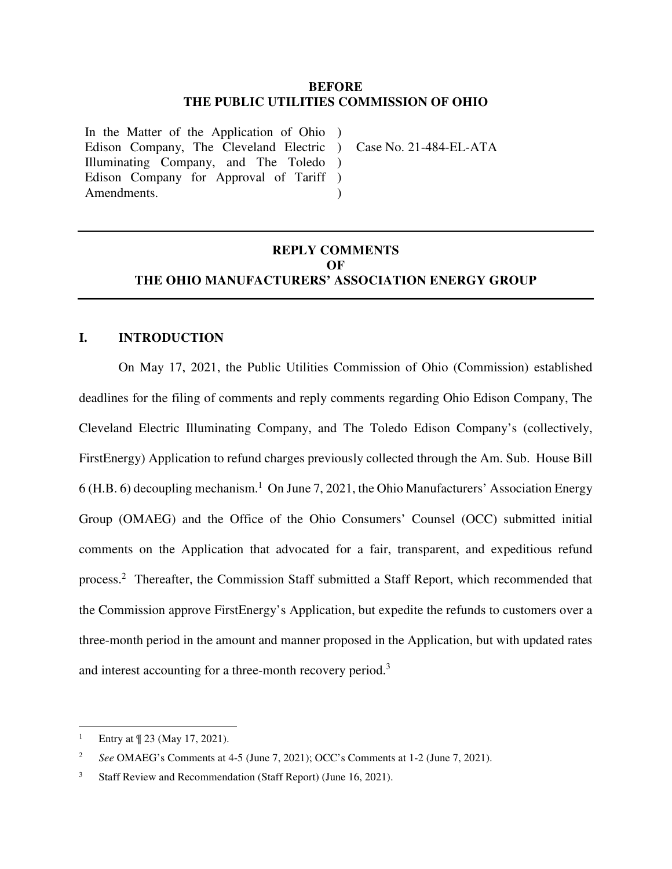### **BEFORE THE PUBLIC UTILITIES COMMISSION OF OHIO**

In the Matter of the Application of Ohio ) Edison Company, The Cleveland Electric ) Illuminating Company, and The Toledo ) Edison Company for Approval of Tariff ) Amendments.

Case No. 21-484-EL-ATA

# **REPLY COMMENTS OF THE OHIO MANUFACTURERS' ASSOCIATION ENERGY GROUP**

 $\lambda$ 

#### **I. INTRODUCTION**

On May 17, 2021, the Public Utilities Commission of Ohio (Commission) established deadlines for the filing of comments and reply comments regarding Ohio Edison Company, The Cleveland Electric Illuminating Company, and The Toledo Edison Company's (collectively, FirstEnergy) Application to refund charges previously collected through the Am. Sub. House Bill 6 (H.B. 6) decoupling mechanism.<sup>1</sup> On June 7, 2021, the Ohio Manufacturers' Association Energy Group (OMAEG) and the Office of the Ohio Consumers' Counsel (OCC) submitted initial comments on the Application that advocated for a fair, transparent, and expeditious refund process.<sup>2</sup> Thereafter, the Commission Staff submitted a Staff Report, which recommended that the Commission approve FirstEnergy's Application, but expedite the refunds to customers over a three-month period in the amount and manner proposed in the Application, but with updated rates and interest accounting for a three-month recovery period.<sup>3</sup>

 $\overline{a}$ 1 Entry at ¶ 23 (May 17, 2021).

<sup>2</sup> *See* OMAEG's Comments at 4-5 (June 7, 2021); OCC's Comments at 1-2 (June 7, 2021).

<sup>3</sup> Staff Review and Recommendation (Staff Report) (June 16, 2021).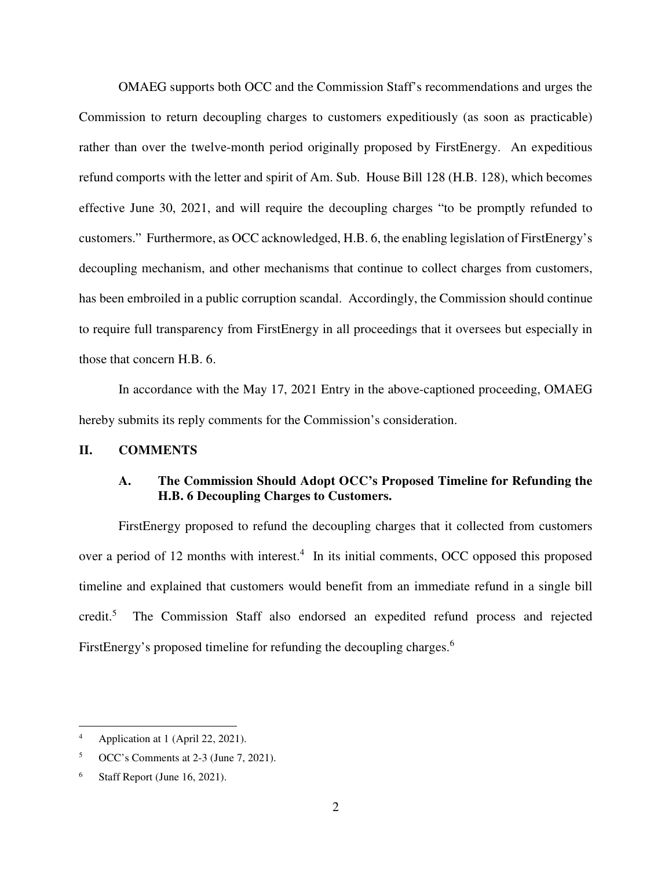OMAEG supports both OCC and the Commission Staff's recommendations and urges the Commission to return decoupling charges to customers expeditiously (as soon as practicable) rather than over the twelve-month period originally proposed by FirstEnergy. An expeditious refund comports with the letter and spirit of Am. Sub. House Bill 128 (H.B. 128), which becomes effective June 30, 2021, and will require the decoupling charges "to be promptly refunded to customers." Furthermore, as OCC acknowledged, H.B. 6, the enabling legislation of FirstEnergy's decoupling mechanism, and other mechanisms that continue to collect charges from customers, has been embroiled in a public corruption scandal. Accordingly, the Commission should continue to require full transparency from FirstEnergy in all proceedings that it oversees but especially in those that concern H.B. 6.

In accordance with the May 17, 2021 Entry in the above-captioned proceeding, OMAEG hereby submits its reply comments for the Commission's consideration.

### **II. COMMENTS**

# **A. The Commission Should Adopt OCC's Proposed Timeline for Refunding the H.B. 6 Decoupling Charges to Customers.**

FirstEnergy proposed to refund the decoupling charges that it collected from customers over a period of 12 months with interest.<sup>4</sup> In its initial comments, OCC opposed this proposed timeline and explained that customers would benefit from an immediate refund in a single bill  $\mathrm{credit.}^5$  The Commission Staff also endorsed an expedited refund process and rejected FirstEnergy's proposed timeline for refunding the decoupling charges.<sup>6</sup>

-

<sup>4</sup> Application at 1 (April 22, 2021).

<sup>5</sup> OCC's Comments at 2-3 (June 7, 2021).

<sup>6</sup> Staff Report (June 16, 2021).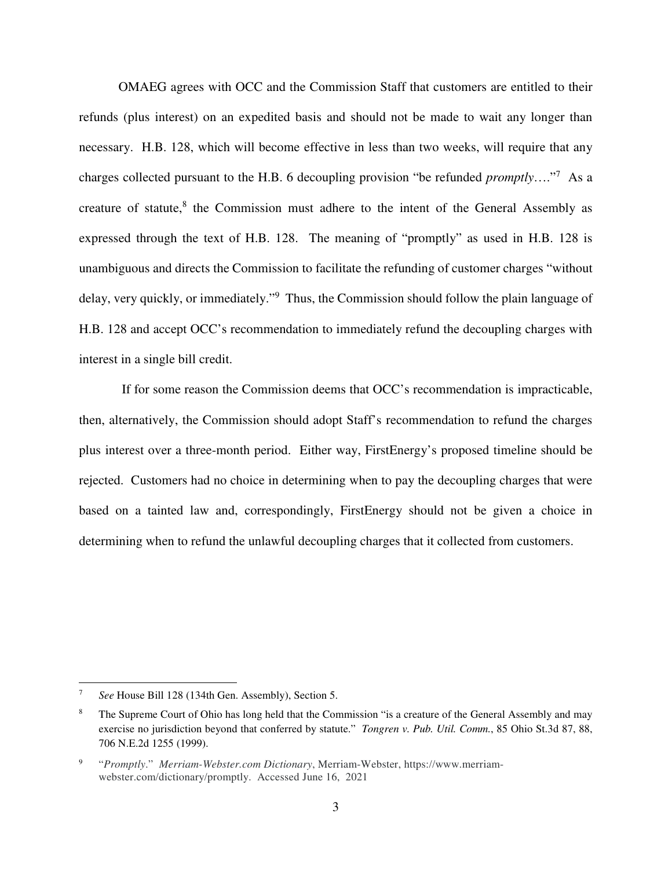OMAEG agrees with OCC and the Commission Staff that customers are entitled to their refunds (plus interest) on an expedited basis and should not be made to wait any longer than necessary. H.B. 128, which will become effective in less than two weeks, will require that any charges collected pursuant to the H.B. 6 decoupling provision "be refunded *promptly*…."<sup>7</sup> As a creature of statute, $8$  the Commission must adhere to the intent of the General Assembly as expressed through the text of H.B. 128. The meaning of "promptly" as used in H.B. 128 is unambiguous and directs the Commission to facilitate the refunding of customer charges "without delay, very quickly, or immediately."<sup>9</sup> Thus, the Commission should follow the plain language of H.B. 128 and accept OCC's recommendation to immediately refund the decoupling charges with interest in a single bill credit.

 If for some reason the Commission deems that OCC's recommendation is impracticable, then, alternatively, the Commission should adopt Staff's recommendation to refund the charges plus interest over a three-month period. Either way, FirstEnergy's proposed timeline should be rejected. Customers had no choice in determining when to pay the decoupling charges that were based on a tainted law and, correspondingly, FirstEnergy should not be given a choice in determining when to refund the unlawful decoupling charges that it collected from customers.

-

<sup>7</sup> *See* House Bill 128 (134th Gen. Assembly), Section 5.

<sup>8</sup> The Supreme Court of Ohio has long held that the Commission "is a creature of the General Assembly and may exercise no jurisdiction beyond that conferred by statute." *Tongren v. Pub. Util. Comm.*, 85 Ohio St.3d 87, 88, 706 N.E.2d 1255 (1999).

<sup>9</sup> "*Promptly*." *Merriam-Webster.com Dictionary*, Merriam-Webster, https://www.merriamwebster.com/dictionary/promptly. Accessed June 16, 2021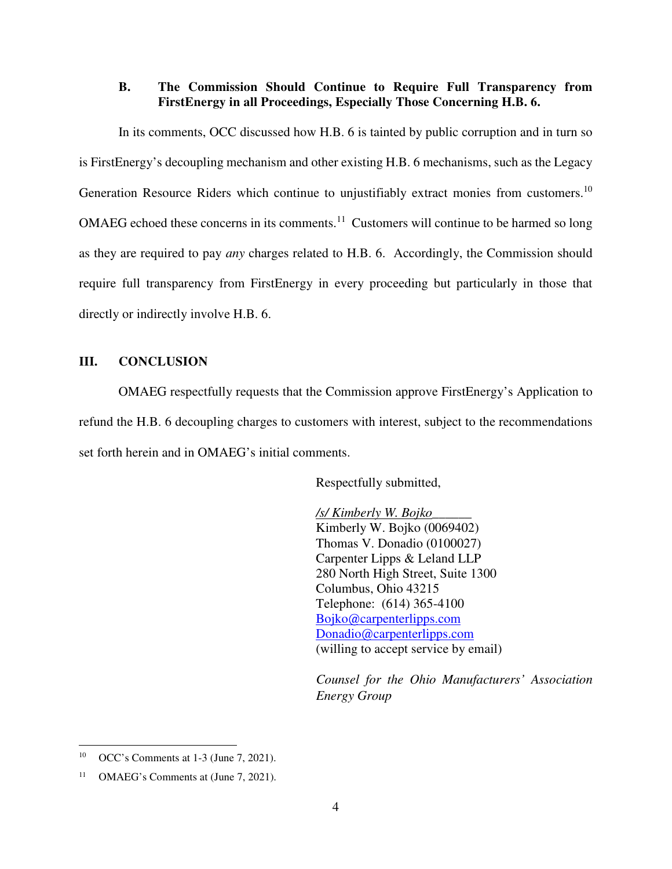### **B. The Commission Should Continue to Require Full Transparency from FirstEnergy in all Proceedings, Especially Those Concerning H.B. 6.**

In its comments, OCC discussed how H.B. 6 is tainted by public corruption and in turn so is FirstEnergy's decoupling mechanism and other existing H.B. 6 mechanisms, such as the Legacy Generation Resource Riders which continue to unjustifiably extract monies from customers.<sup>10</sup> OMAEG echoed these concerns in its comments.<sup>11</sup> Customers will continue to be harmed so long as they are required to pay *any* charges related to H.B. 6. Accordingly, the Commission should require full transparency from FirstEnergy in every proceeding but particularly in those that directly or indirectly involve H.B. 6.

# **III. CONCLUSION**

OMAEG respectfully requests that the Commission approve FirstEnergy's Application to refund the H.B. 6 decoupling charges to customers with interest, subject to the recommendations set forth herein and in OMAEG's initial comments.

Respectfully submitted,

 */s/ Kimberly W. Bojko\_\_\_\_\_\_*  Kimberly W. Bojko (0069402) Thomas V. Donadio (0100027) Carpenter Lipps & Leland LLP 280 North High Street, Suite 1300 Columbus, Ohio 43215 Telephone: (614) 365-4100 Bojko@carpenterlipps.com Donadio@carpenterlipps.com (willing to accept service by email)

*Counsel for the Ohio Manufacturers' Association Energy Group* 

-

<sup>10</sup> OCC's Comments at 1-3 (June 7, 2021).

<sup>&</sup>lt;sup>11</sup> OMAEG's Comments at (June 7, 2021).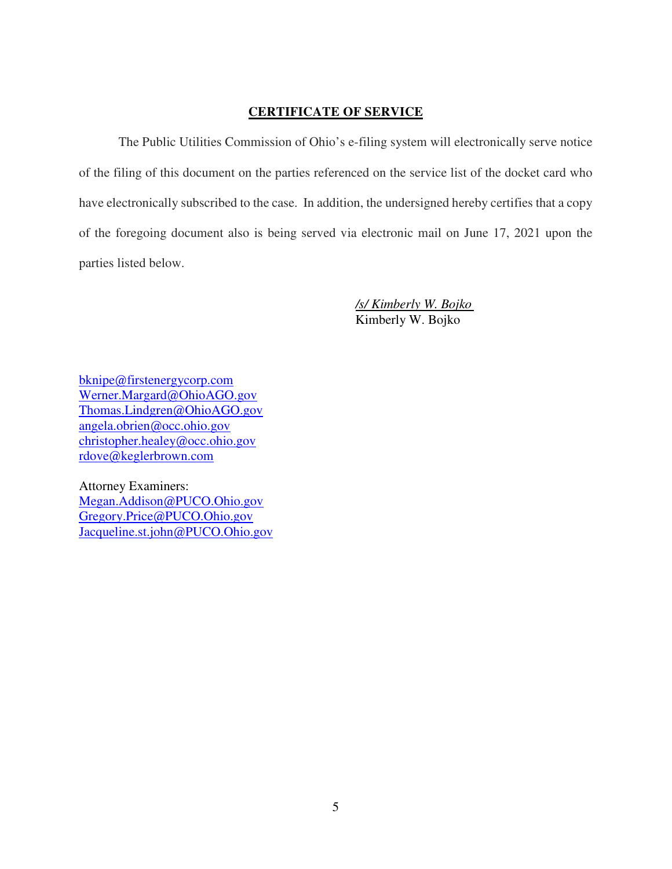### **CERTIFICATE OF SERVICE**

The Public Utilities Commission of Ohio's e-filing system will electronically serve notice of the filing of this document on the parties referenced on the service list of the docket card who have electronically subscribed to the case. In addition, the undersigned hereby certifies that a copy of the foregoing document also is being served via electronic mail on June 17, 2021 upon the parties listed below.

> */s/ Kimberly W. Bojko*  Kimberly W. Bojko

bknipe@firstenergycorp.com Werner.Margard@OhioAGO.gov Thomas.Lindgren@OhioAGO.gov angela.obrien@occ.ohio.gov christopher.healey@occ.ohio.gov rdove@keglerbrown.com

Attorney Examiners: Megan.Addison@PUCO.Ohio.gov Gregory.Price@PUCO.Ohio.gov Jacqueline.st.john@PUCO.Ohio.gov